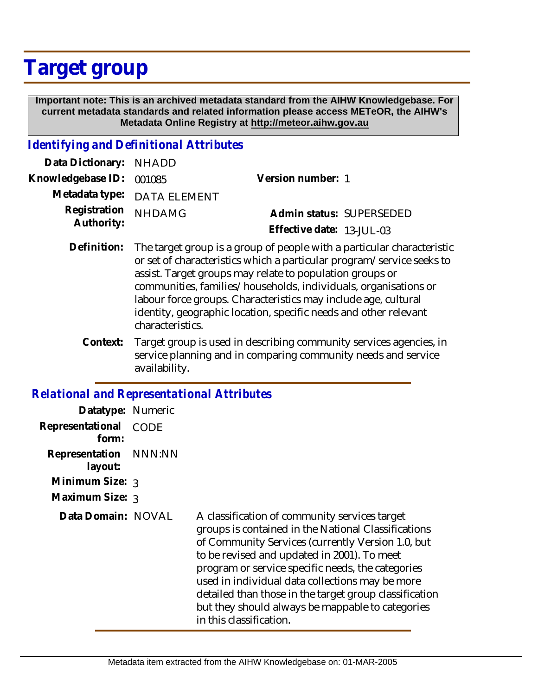# **Target group**

 **Important note: This is an archived metadata standard from the AIHW Knowledgebase. For current metadata standards and related information please access METeOR, the AIHW's Metadata Online Registry at http://meteor.aihw.gov.au**

## *Identifying and Definitional Attributes*

| Data Dictionary: NHADD            |                             |                              |  |
|-----------------------------------|-----------------------------|------------------------------|--|
| Knowledgebase ID: 001085          |                             | Version number: 1            |  |
|                                   | Metadata type: DATA ELEMENT |                              |  |
| Registration NHDAMG<br>Authority: |                             | Admin status: SUPERSEDED     |  |
|                                   |                             | Effective date: $13$ -JUL-03 |  |
|                                   |                             |                              |  |

- Definition: The target group is a group of people with a particular characteristic or set of characteristics which a particular program/service seeks to assist. Target groups may relate to population groups or communities, families/households, individuals, organisations or labour force groups. Characteristics may include age, cultural identity, geographic location, specific needs and other relevant characteristics.
	- Target group is used in describing community services agencies, in service planning and in comparing community needs and service availability. **Context:**

#### *Relational and Representational Attributes*

| Datatype: Numeric                |             |                                                                                                                                                                                                                                                                                                                                                                                                                                                           |
|----------------------------------|-------------|-----------------------------------------------------------------------------------------------------------------------------------------------------------------------------------------------------------------------------------------------------------------------------------------------------------------------------------------------------------------------------------------------------------------------------------------------------------|
| Representational<br>form:        | <b>CODE</b> |                                                                                                                                                                                                                                                                                                                                                                                                                                                           |
| Representation NNN:NN<br>layout: |             |                                                                                                                                                                                                                                                                                                                                                                                                                                                           |
| Minimum Size: 3                  |             |                                                                                                                                                                                                                                                                                                                                                                                                                                                           |
| Maximum Size: 3                  |             |                                                                                                                                                                                                                                                                                                                                                                                                                                                           |
| Data Domain: NOVAL               |             | A classification of community services target<br>groups is contained in the National Classifications<br>of Community Services (currently Version 1.0, but<br>to be revised and updated in 2001). To meet<br>program or service specific needs, the categories<br>used in individual data collections may be more<br>detailed than those in the target group classification<br>but they should always be mappable to categories<br>in this classification. |